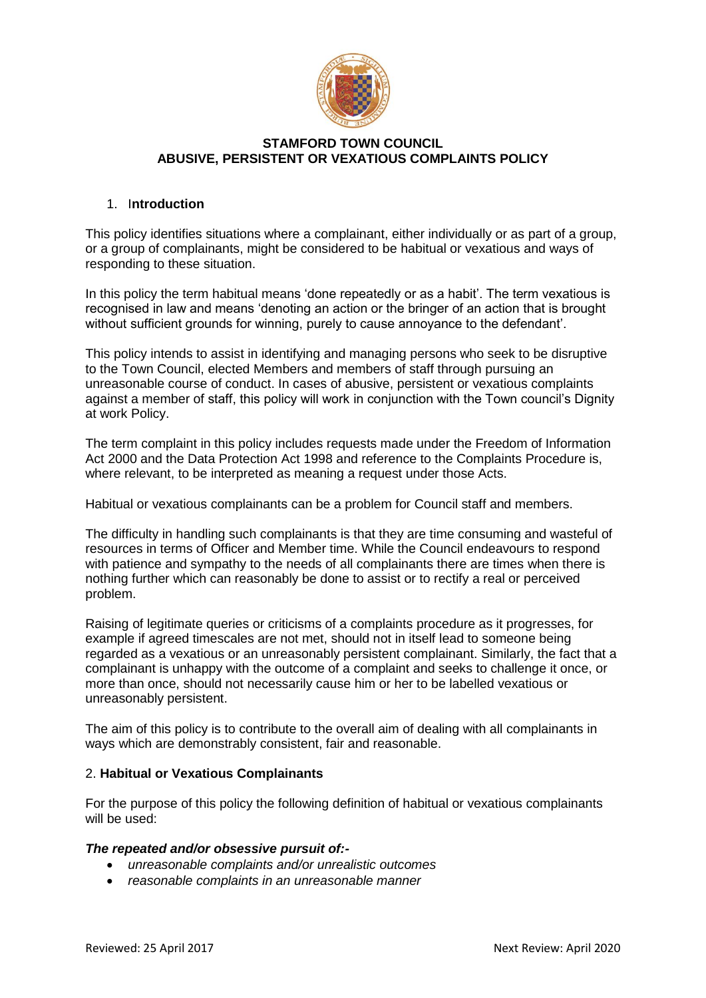

### **STAMFORD TOWN COUNCIL ABUSIVE, PERSISTENT OR VEXATIOUS COMPLAINTS POLICY**

## 1. I**ntroduction**

This policy identifies situations where a complainant, either individually or as part of a group, or a group of complainants, might be considered to be habitual or vexatious and ways of responding to these situation.

In this policy the term habitual means 'done repeatedly or as a habit'. The term vexatious is recognised in law and means 'denoting an action or the bringer of an action that is brought without sufficient grounds for winning, purely to cause annoyance to the defendant'.

This policy intends to assist in identifying and managing persons who seek to be disruptive to the Town Council, elected Members and members of staff through pursuing an unreasonable course of conduct. In cases of abusive, persistent or vexatious complaints against a member of staff, this policy will work in conjunction with the Town council's Dignity at work Policy.

The term complaint in this policy includes requests made under the Freedom of Information Act 2000 and the Data Protection Act 1998 and reference to the Complaints Procedure is, where relevant, to be interpreted as meaning a request under those Acts.

Habitual or vexatious complainants can be a problem for Council staff and members.

The difficulty in handling such complainants is that they are time consuming and wasteful of resources in terms of Officer and Member time. While the Council endeavours to respond with patience and sympathy to the needs of all complainants there are times when there is nothing further which can reasonably be done to assist or to rectify a real or perceived problem.

Raising of legitimate queries or criticisms of a complaints procedure as it progresses, for example if agreed timescales are not met, should not in itself lead to someone being regarded as a vexatious or an unreasonably persistent complainant. Similarly, the fact that a complainant is unhappy with the outcome of a complaint and seeks to challenge it once, or more than once, should not necessarily cause him or her to be labelled vexatious or unreasonably persistent.

The aim of this policy is to contribute to the overall aim of dealing with all complainants in ways which are demonstrably consistent, fair and reasonable.

## 2. **Habitual or Vexatious Complainants**

For the purpose of this policy the following definition of habitual or vexatious complainants will be used:

## *The repeated and/or obsessive pursuit of:-*

- *unreasonable complaints and/or unrealistic outcomes*
- *reasonable complaints in an unreasonable manner*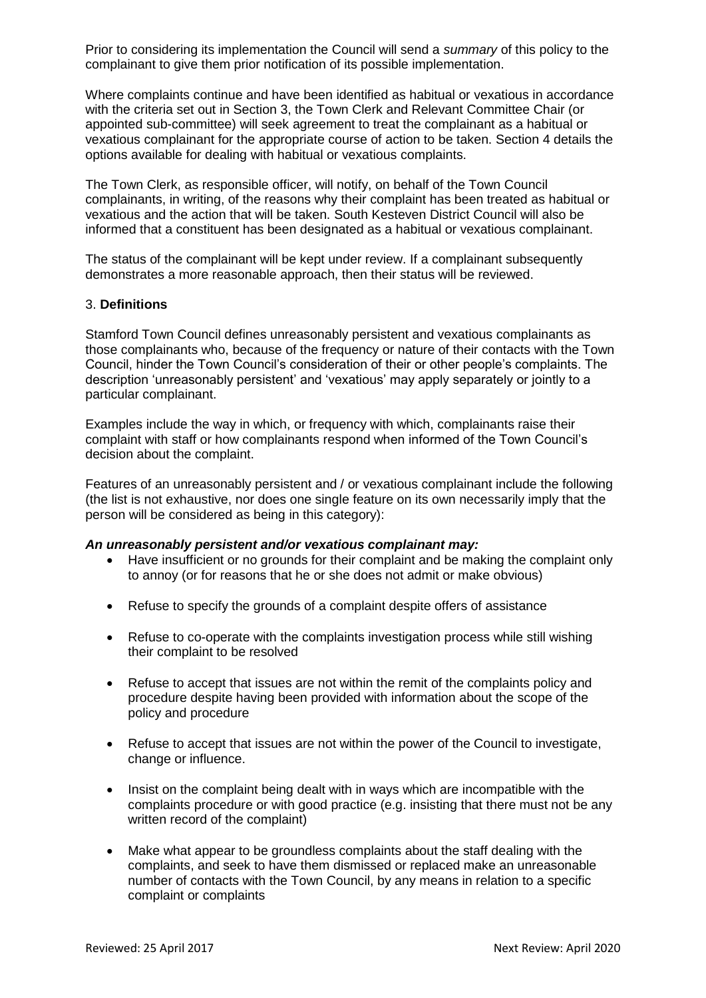Prior to considering its implementation the Council will send a *summary* of this policy to the complainant to give them prior notification of its possible implementation.

Where complaints continue and have been identified as habitual or vexatious in accordance with the criteria set out in Section 3, the Town Clerk and Relevant Committee Chair (or appointed sub-committee) will seek agreement to treat the complainant as a habitual or vexatious complainant for the appropriate course of action to be taken. Section 4 details the options available for dealing with habitual or vexatious complaints.

The Town Clerk, as responsible officer, will notify, on behalf of the Town Council complainants, in writing, of the reasons why their complaint has been treated as habitual or vexatious and the action that will be taken. South Kesteven District Council will also be informed that a constituent has been designated as a habitual or vexatious complainant.

The status of the complainant will be kept under review. If a complainant subsequently demonstrates a more reasonable approach, then their status will be reviewed.

#### 3. **Definitions**

Stamford Town Council defines unreasonably persistent and vexatious complainants as those complainants who, because of the frequency or nature of their contacts with the Town Council, hinder the Town Council's consideration of their or other people's complaints. The description 'unreasonably persistent' and 'vexatious' may apply separately or jointly to a particular complainant.

Examples include the way in which, or frequency with which, complainants raise their complaint with staff or how complainants respond when informed of the Town Council's decision about the complaint.

Features of an unreasonably persistent and / or vexatious complainant include the following (the list is not exhaustive, nor does one single feature on its own necessarily imply that the person will be considered as being in this category):

#### *An unreasonably persistent and/or vexatious complainant may:*

- Have insufficient or no grounds for their complaint and be making the complaint only to annoy (or for reasons that he or she does not admit or make obvious)
- Refuse to specify the grounds of a complaint despite offers of assistance
- Refuse to co-operate with the complaints investigation process while still wishing their complaint to be resolved
- Refuse to accept that issues are not within the remit of the complaints policy and procedure despite having been provided with information about the scope of the policy and procedure
- Refuse to accept that issues are not within the power of the Council to investigate, change or influence.
- Insist on the complaint being dealt with in ways which are incompatible with the complaints procedure or with good practice (e.g. insisting that there must not be any written record of the complaint)
- Make what appear to be groundless complaints about the staff dealing with the complaints, and seek to have them dismissed or replaced make an unreasonable number of contacts with the Town Council, by any means in relation to a specific complaint or complaints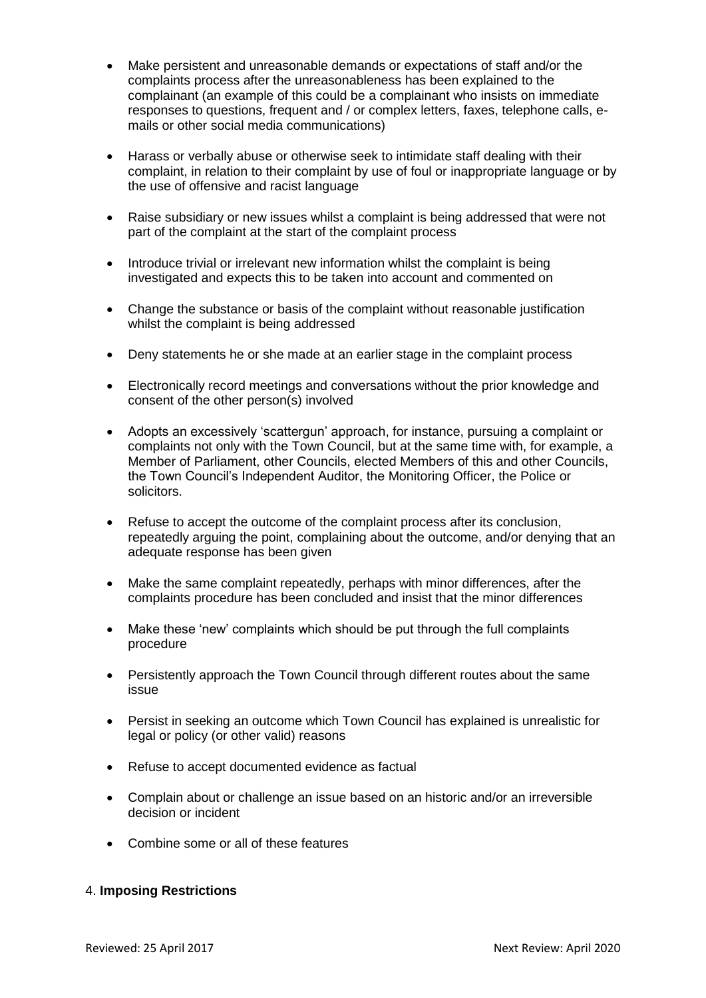- Make persistent and unreasonable demands or expectations of staff and/or the complaints process after the unreasonableness has been explained to the complainant (an example of this could be a complainant who insists on immediate responses to questions, frequent and / or complex letters, faxes, telephone calls, emails or other social media communications)
- Harass or verbally abuse or otherwise seek to intimidate staff dealing with their complaint, in relation to their complaint by use of foul or inappropriate language or by the use of offensive and racist language
- Raise subsidiary or new issues whilst a complaint is being addressed that were not part of the complaint at the start of the complaint process
- Introduce trivial or irrelevant new information whilst the complaint is being investigated and expects this to be taken into account and commented on
- Change the substance or basis of the complaint without reasonable justification whilst the complaint is being addressed
- Deny statements he or she made at an earlier stage in the complaint process
- Electronically record meetings and conversations without the prior knowledge and consent of the other person(s) involved
- Adopts an excessively 'scattergun' approach, for instance, pursuing a complaint or complaints not only with the Town Council, but at the same time with, for example, a Member of Parliament, other Councils, elected Members of this and other Councils, the Town Council's Independent Auditor, the Monitoring Officer, the Police or solicitors.
- Refuse to accept the outcome of the complaint process after its conclusion, repeatedly arguing the point, complaining about the outcome, and/or denying that an adequate response has been given
- Make the same complaint repeatedly, perhaps with minor differences, after the complaints procedure has been concluded and insist that the minor differences
- Make these 'new' complaints which should be put through the full complaints procedure
- Persistently approach the Town Council through different routes about the same issue
- Persist in seeking an outcome which Town Council has explained is unrealistic for legal or policy (or other valid) reasons
- Refuse to accept documented evidence as factual
- Complain about or challenge an issue based on an historic and/or an irreversible decision or incident
- Combine some or all of these features

## 4. **Imposing Restrictions**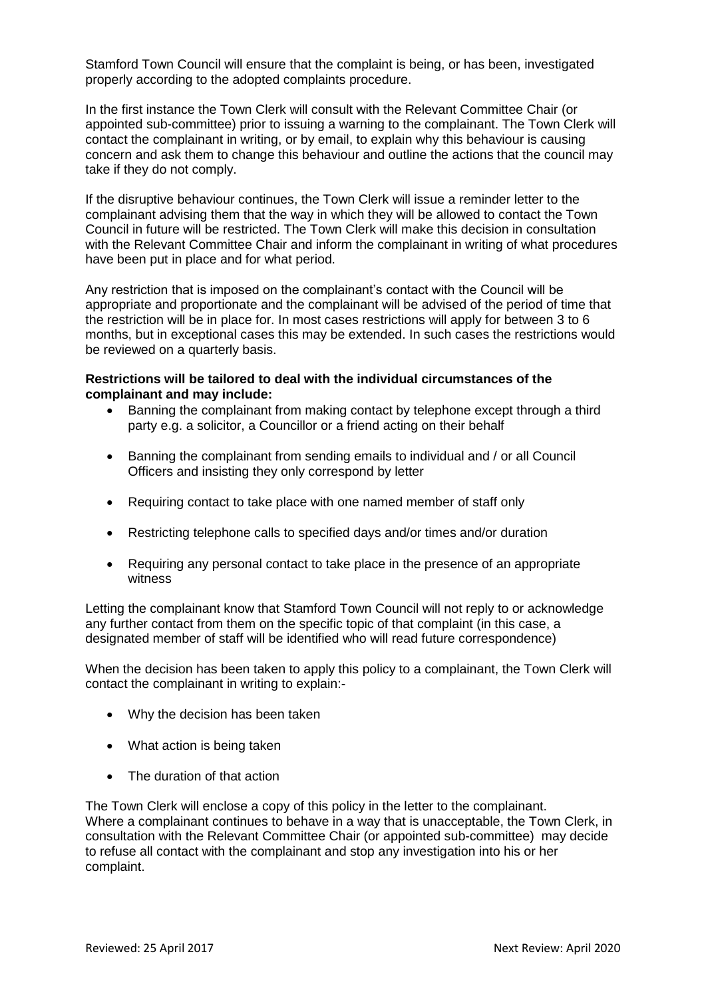Stamford Town Council will ensure that the complaint is being, or has been, investigated properly according to the adopted complaints procedure.

In the first instance the Town Clerk will consult with the Relevant Committee Chair (or appointed sub-committee) prior to issuing a warning to the complainant. The Town Clerk will contact the complainant in writing, or by email, to explain why this behaviour is causing concern and ask them to change this behaviour and outline the actions that the council may take if they do not comply.

If the disruptive behaviour continues, the Town Clerk will issue a reminder letter to the complainant advising them that the way in which they will be allowed to contact the Town Council in future will be restricted. The Town Clerk will make this decision in consultation with the Relevant Committee Chair and inform the complainant in writing of what procedures have been put in place and for what period.

Any restriction that is imposed on the complainant's contact with the Council will be appropriate and proportionate and the complainant will be advised of the period of time that the restriction will be in place for. In most cases restrictions will apply for between 3 to 6 months, but in exceptional cases this may be extended. In such cases the restrictions would be reviewed on a quarterly basis.

#### **Restrictions will be tailored to deal with the individual circumstances of the complainant and may include:**

- Banning the complainant from making contact by telephone except through a third party e.g. a solicitor, a Councillor or a friend acting on their behalf
- Banning the complainant from sending emails to individual and / or all Council Officers and insisting they only correspond by letter
- Requiring contact to take place with one named member of staff only
- Restricting telephone calls to specified days and/or times and/or duration
- Requiring any personal contact to take place in the presence of an appropriate witness

Letting the complainant know that Stamford Town Council will not reply to or acknowledge any further contact from them on the specific topic of that complaint (in this case, a designated member of staff will be identified who will read future correspondence)

When the decision has been taken to apply this policy to a complainant, the Town Clerk will contact the complainant in writing to explain:-

- Why the decision has been taken
- What action is being taken
- The duration of that action

The Town Clerk will enclose a copy of this policy in the letter to the complainant. Where a complainant continues to behave in a way that is unacceptable, the Town Clerk, in consultation with the Relevant Committee Chair (or appointed sub-committee) may decide to refuse all contact with the complainant and stop any investigation into his or her complaint.